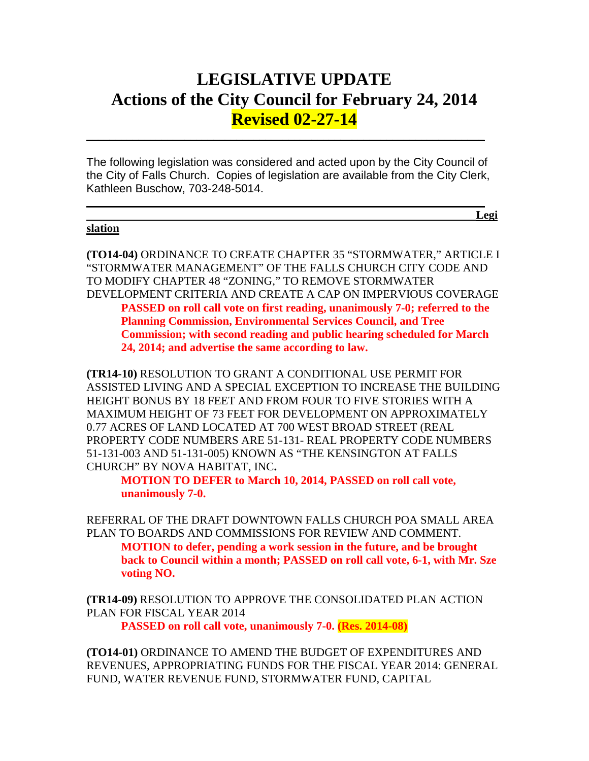# **LEGISLATIVE UPDATE Actions of the City Council for February 24, 2014 Revised 02-27-14**

The following legislation was considered and acted upon by the City Council of the City of Falls Church. Copies of legislation are available from the City Clerk, Kathleen Buschow, 703-248-5014.

 $\mathcal{L}_\text{max}$  and  $\mathcal{L}_\text{max}$  and  $\mathcal{L}_\text{max}$  and  $\mathcal{L}_\text{max}$  and  $\mathcal{L}_\text{max}$  and  $\mathcal{L}_\text{max}$ 

 $\mathcal{L}_\text{max}$  and  $\mathcal{L}_\text{max}$  and  $\mathcal{L}_\text{max}$  and  $\mathcal{L}_\text{max}$  and  $\mathcal{L}_\text{max}$  and  $\mathcal{L}_\text{max}$ 

#### **slation**

**Legi**

**(TO14-04)** ORDINANCE TO CREATE CHAPTER 35 "STORMWATER," ARTICLE I "STORMWATER MANAGEMENT" OF THE FALLS CHURCH CITY CODE AND TO MODIFY CHAPTER 48 "ZONING," TO REMOVE STORMWATER DEVELOPMENT CRITERIA AND CREATE A CAP ON IMPERVIOUS COVERAGE **PASSED on roll call vote on first reading, unanimously 7-0; referred to the** 

**Planning Commission, Environmental Services Council, and Tree Commission; with second reading and public hearing scheduled for March 24, 2014; and advertise the same according to law.**

**(TR14-10)** RESOLUTION TO GRANT A CONDITIONAL USE PERMIT FOR ASSISTED LIVING AND A SPECIAL EXCEPTION TO INCREASE THE BUILDING HEIGHT BONUS BY 18 FEET AND FROM FOUR TO FIVE STORIES WITH A MAXIMUM HEIGHT OF 73 FEET FOR DEVELOPMENT ON APPROXIMATELY 0.77 ACRES OF LAND LOCATED AT 700 WEST BROAD STREET (REAL PROPERTY CODE NUMBERS ARE 51-131- REAL PROPERTY CODE NUMBERS 51-131-003 AND 51-131-005) KNOWN AS "THE KENSINGTON AT FALLS CHURCH" BY NOVA HABITAT, INC**.**

**MOTION TO DEFER to March 10, 2014, PASSED on roll call vote, unanimously 7-0.**

REFERRAL OF THE DRAFT DOWNTOWN FALLS CHURCH POA SMALL AREA PLAN TO BOARDS AND COMMISSIONS FOR REVIEW AND COMMENT. **MOTION to defer, pending a work session in the future, and be brought back to Council within a month; PASSED on roll call vote, 6-1, with Mr. Sze voting NO.**

**(TR14-09)** RESOLUTION TO APPROVE THE CONSOLIDATED PLAN ACTION PLAN FOR FISCAL YEAR 2014

**PASSED on roll call vote, unanimously 7-0. (Res. 2014-08)**

**(TO14-01)** ORDINANCE TO AMEND THE BUDGET OF EXPENDITURES AND REVENUES, APPROPRIATING FUNDS FOR THE FISCAL YEAR 2014: GENERAL FUND, WATER REVENUE FUND, STORMWATER FUND, CAPITAL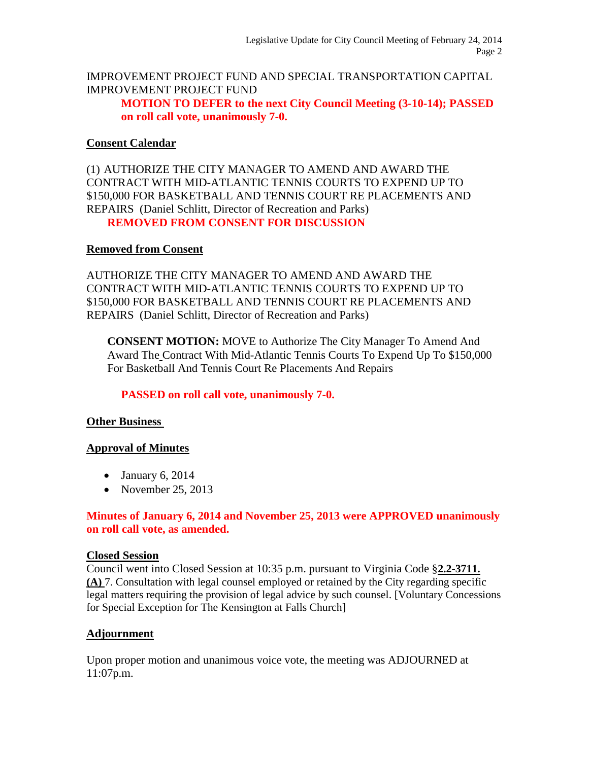IMPROVEMENT PROJECT FUND AND SPECIAL TRANSPORTATION CAPITAL IMPROVEMENT PROJECT FUND

**MOTION TO DEFER to the next City Council Meeting (3-10-14); PASSED on roll call vote, unanimously 7-0.**

#### **Consent Calendar**

(1) AUTHORIZE THE CITY MANAGER TO AMEND AND AWARD THE CONTRACT WITH MID-ATLANTIC TENNIS COURTS TO EXPEND UP TO \$150,000 FOR BASKETBALL AND TENNIS COURT RE PLACEMENTS AND REPAIRS (Daniel Schlitt, Director of Recreation and Parks) **REMOVED FROM CONSENT FOR DISCUSSION**

#### **Removed from Consent**

AUTHORIZE THE CITY MANAGER TO AMEND AND AWARD THE CONTRACT WITH MID-ATLANTIC TENNIS COURTS TO EXPEND UP TO \$150,000 FOR BASKETBALL AND TENNIS COURT RE PLACEMENTS AND REPAIRS (Daniel Schlitt, Director of Recreation and Parks)

**CONSENT MOTION:** MOVE to Authorize The City Manager To Amend And Award The Contract With Mid-Atlantic Tennis Courts To Expend Up To \$150,000 For Basketball And Tennis Court Re Placements And Repairs

## **PASSED on roll call vote, unanimously 7-0.**

## **Other Business**

## **Approval of Minutes**

- January 6, 2014
- November 25, 2013

## **Minutes of January 6, 2014 and November 25, 2013 were APPROVED unanimously on roll call vote, as amended.**

#### **Closed Session**

Council went into Closed Session at 10:35 p.m. pursuant to Virginia Code §**2.2-3711. (A)** 7. Consultation with legal counsel employed or retained by the City regarding specific legal matters requiring the provision of legal advice by such counsel. [Voluntary Concessions for Special Exception for The Kensington at Falls Church]

#### **Adjournment**

Upon proper motion and unanimous voice vote, the meeting was ADJOURNED at 11:07p.m.